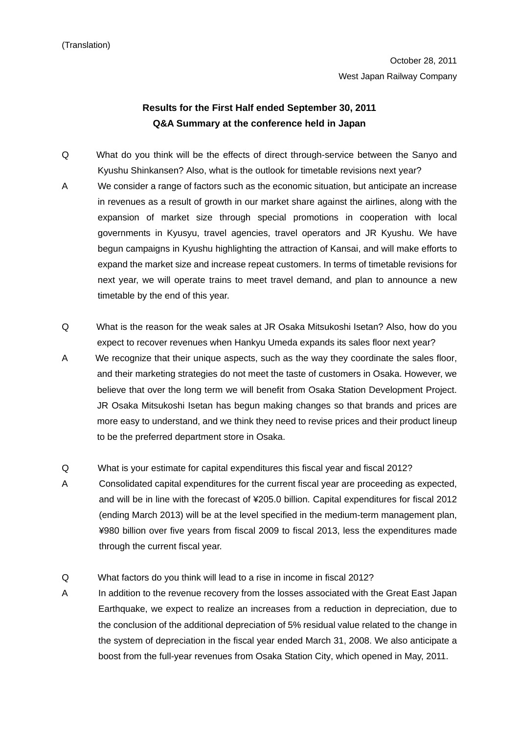(Translation)

## **Results for the First Half ended September 30, 2011 Q&A Summary at the conference held in Japan**

- Q What do you think will be the effects of direct through-service between the Sanyo and Kyushu Shinkansen? Also, what is the outlook for timetable revisions next year?
- A We consider a range of factors such as the economic situation, but anticipate an increase in revenues as a result of growth in our market share against the airlines, along with the expansion of market size through special promotions in cooperation with local governments in Kyusyu, travel agencies, travel operators and JR Kyushu. We have begun campaigns in Kyushu highlighting the attraction of Kansai, and will make efforts to expand the market size and increase repeat customers. In terms of timetable revisions for next year, we will operate trains to meet travel demand, and plan to announce a new timetable by the end of this year.
- Q What is the reason for the weak sales at JR Osaka Mitsukoshi Isetan? Also, how do you expect to recover revenues when Hankyu Umeda expands its sales floor next year?
- A We recognize that their unique aspects, such as the way they coordinate the sales floor, and their marketing strategies do not meet the taste of customers in Osaka. However, we believe that over the long term we will benefit from Osaka Station Development Project. JR Osaka Mitsukoshi Isetan has begun making changes so that brands and prices are more easy to understand, and we think they need to revise prices and their product lineup to be the preferred department store in Osaka.
- Q What is your estimate for capital expenditures this fiscal year and fiscal 2012?
- A Consolidated capital expenditures for the current fiscal year are proceeding as expected, and will be in line with the forecast of ¥205.0 billion. Capital expenditures for fiscal 2012 (ending March 2013) will be at the level specified in the medium-term management plan, ¥980 billion over five years from fiscal 2009 to fiscal 2013, less the expenditures made through the current fiscal year.
- Q What factors do you think will lead to a rise in income in fiscal 2012?
- A In addition to the revenue recovery from the losses associated with the Great East Japan Earthquake, we expect to realize an increases from a reduction in depreciation, due to the conclusion of the additional depreciation of 5% residual value related to the change in the system of depreciation in the fiscal year ended March 31, 2008. We also anticipate a boost from the full-year revenues from Osaka Station City, which opened in May, 2011.